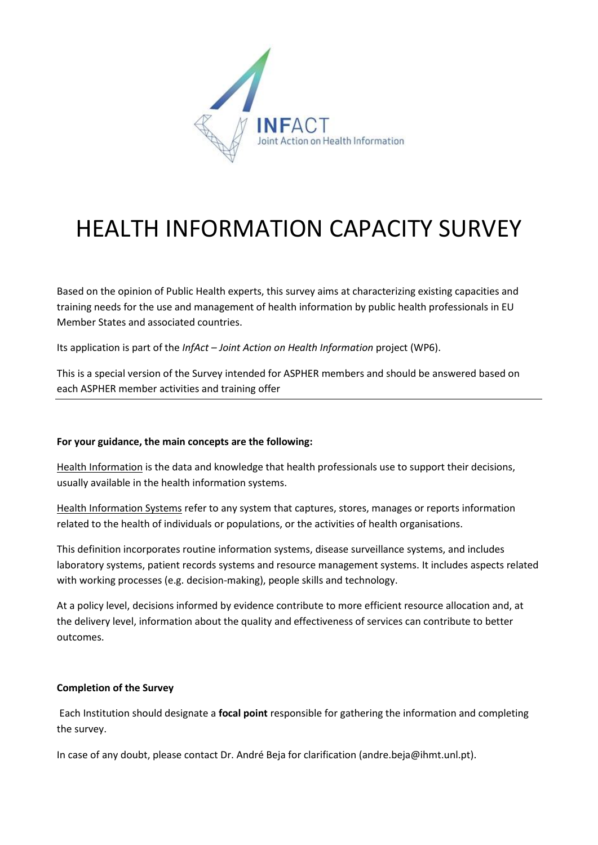

# HEALTH INFORMATION CAPACITY SURVEY

Based on the opinion of Public Health experts, this survey aims at characterizing existing capacities and training needs for the use and management of health information by public health professionals in EU Member States and associated countries.

Its application is part of the *InfAct – Joint Action on Health Information* project (WP6).

This is a special version of the Survey intended for ASPHER members and should be answered based on each ASPHER member activities and training offer

#### **For your guidance, the main concepts are the following:**

Health Information is the data and knowledge that health professionals use to support their decisions, usually available in the health information systems.

Health Information Systems refer to any system that captures, stores, manages or reports information related to the health of individuals or populations, or the activities of health organisations.

This definition incorporates routine information systems, disease surveillance systems, and includes laboratory systems, patient records systems and resource management systems. It includes aspects related with working processes (e.g. decision-making), people skills and technology.

At a policy level, decisions informed by evidence contribute to more efficient resource allocation and, at the delivery level, information about the quality and effectiveness of services can contribute to better outcomes.

#### **Completion of the Survey**

Each Institution should designate a **focal point** responsible for gathering the information and completing the survey.

In case of any doubt, please contact Dr. André Beja for clarification (andre.beja@ihmt.unl.pt).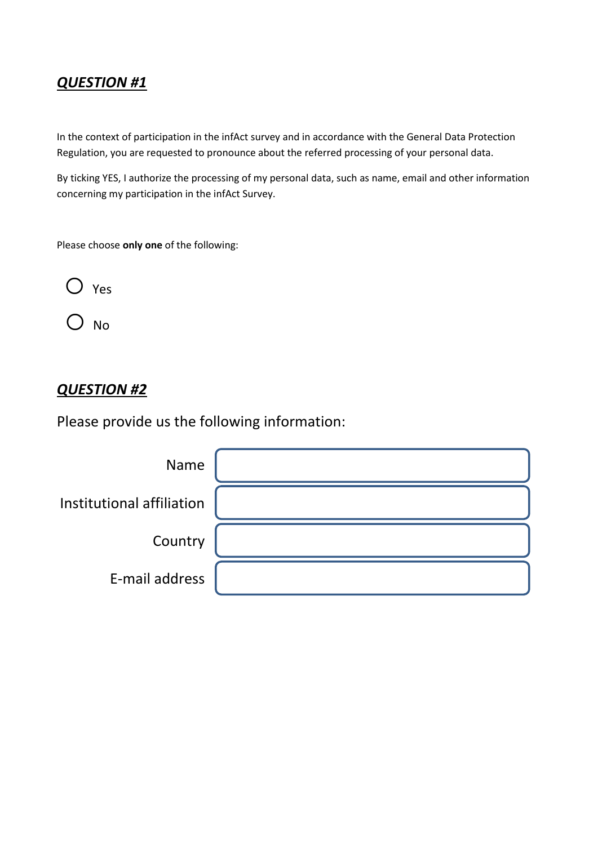In the context of participation in the infAct survey and in accordance with the General Data Protection Regulation, you are requested to pronounce about the referred processing of your personal data.

By ticking YES, I authorize the processing of my personal data, such as name, email and other information concerning my participation in the infAct Survey.

Please choose **only one** of the following:

o Yes

O No

#### *QUESTION #2*

Please provide us the following information:

| Name                      |  |
|---------------------------|--|
| Institutional affiliation |  |
| Country                   |  |
| E-mail address            |  |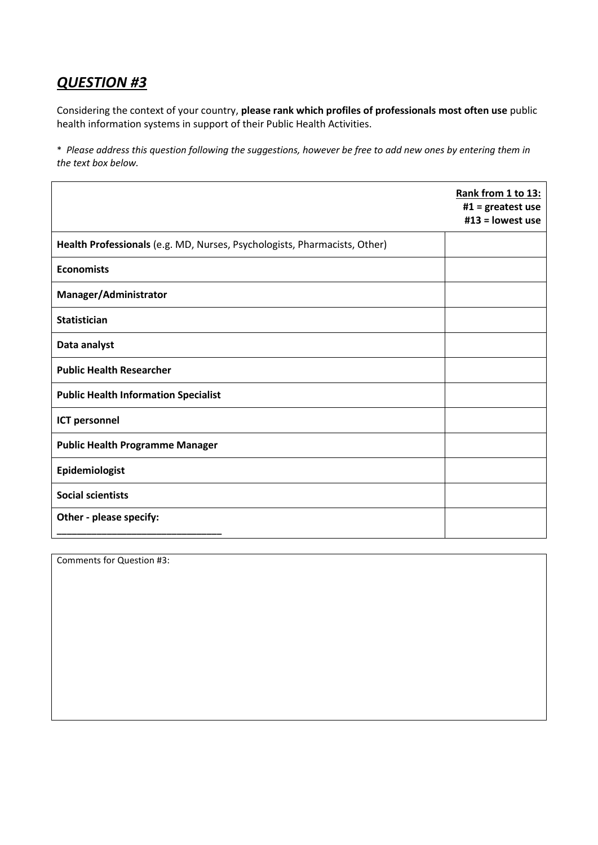Considering the context of your country, **please rank which profiles of professionals most often use** public health information systems in support of their Public Health Activities.

\* *Please address this question following the suggestions, however be free to add new ones by entering them in the text box below.*

|                                                                           | Rank from 1 to 13:<br>$#1 =$ greatest use<br>$#13 =$ lowest use |
|---------------------------------------------------------------------------|-----------------------------------------------------------------|
| Health Professionals (e.g. MD, Nurses, Psychologists, Pharmacists, Other) |                                                                 |
| <b>Economists</b>                                                         |                                                                 |
| Manager/Administrator                                                     |                                                                 |
| <b>Statistician</b>                                                       |                                                                 |
| Data analyst                                                              |                                                                 |
| <b>Public Health Researcher</b>                                           |                                                                 |
| <b>Public Health Information Specialist</b>                               |                                                                 |
| <b>ICT personnel</b>                                                      |                                                                 |
| <b>Public Health Programme Manager</b>                                    |                                                                 |
| Epidemiologist                                                            |                                                                 |
| <b>Social scientists</b>                                                  |                                                                 |
| Other - please specify:                                                   |                                                                 |

Comments for Question #3: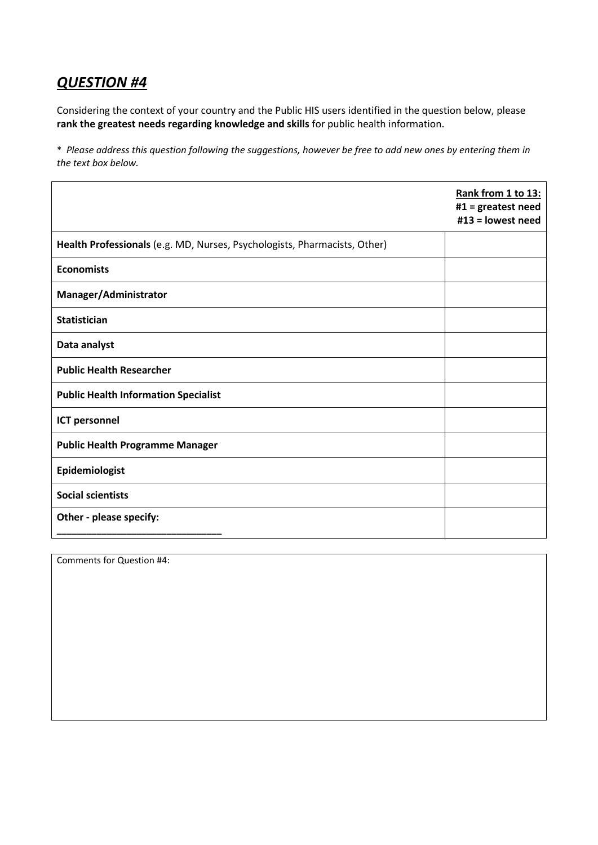Considering the context of your country and the Public HIS users identified in the question below, please **rank the greatest needs regarding knowledge and skills** for public health information.

\* *Please address this question following the suggestions, however be free to add new ones by entering them in the text box below.*

|                                                                           | Rank from 1 to 13:<br>#1 = $greatest need$<br>#13 = lowest need |
|---------------------------------------------------------------------------|-----------------------------------------------------------------|
| Health Professionals (e.g. MD, Nurses, Psychologists, Pharmacists, Other) |                                                                 |
| <b>Economists</b>                                                         |                                                                 |
| Manager/Administrator                                                     |                                                                 |
| <b>Statistician</b>                                                       |                                                                 |
| Data analyst                                                              |                                                                 |
| <b>Public Health Researcher</b>                                           |                                                                 |
| <b>Public Health Information Specialist</b>                               |                                                                 |
| <b>ICT personnel</b>                                                      |                                                                 |
| <b>Public Health Programme Manager</b>                                    |                                                                 |
| Epidemiologist                                                            |                                                                 |
| <b>Social scientists</b>                                                  |                                                                 |
| Other - please specify:                                                   |                                                                 |

Comments for Question #4: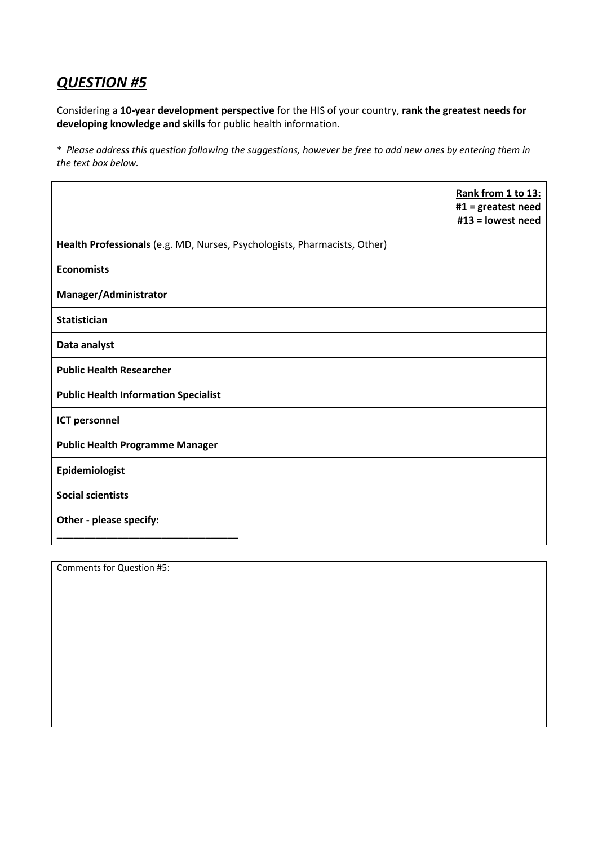Considering a **10-year development perspective** for the HIS of your country, **rank the greatest needs for developing knowledge and skills** for public health information.

\* *Please address this question following the suggestions, however be free to add new ones by entering them in the text box below.*

|                                                                           | Rank from 1 to 13:<br>#1 = greatest need<br>#13 = lowest need |
|---------------------------------------------------------------------------|---------------------------------------------------------------|
| Health Professionals (e.g. MD, Nurses, Psychologists, Pharmacists, Other) |                                                               |
| <b>Economists</b>                                                         |                                                               |
| Manager/Administrator                                                     |                                                               |
| <b>Statistician</b>                                                       |                                                               |
| Data analyst                                                              |                                                               |
| <b>Public Health Researcher</b>                                           |                                                               |
| <b>Public Health Information Specialist</b>                               |                                                               |
| <b>ICT personnel</b>                                                      |                                                               |
| <b>Public Health Programme Manager</b>                                    |                                                               |
| Epidemiologist                                                            |                                                               |
| <b>Social scientists</b>                                                  |                                                               |
| Other - please specify:                                                   |                                                               |

Comments for Question #5: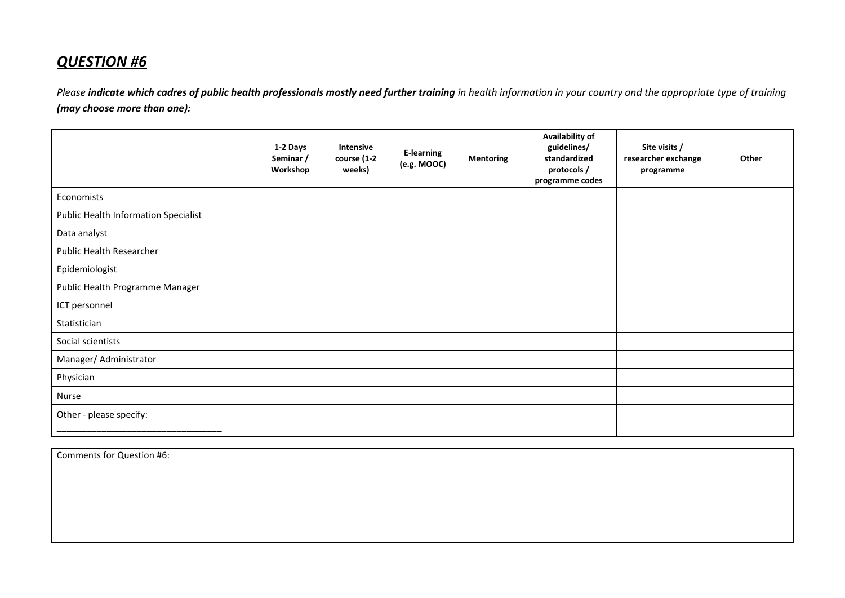Please *indicate which cadres of public health professionals mostly need further training* in health information in your country and the appropriate type of training *(may choose more than one):*

|                                             | 1-2 Days<br>Seminar /<br>Workshop | Intensive<br>course (1-2<br>weeks) | <b>E-learning</b><br>(e.g. MOOC) | <b>Mentoring</b> | Availability of<br>guidelines/<br>standardized<br>protocols /<br>programme codes | Site visits /<br>researcher exchange<br>programme | Other |
|---------------------------------------------|-----------------------------------|------------------------------------|----------------------------------|------------------|----------------------------------------------------------------------------------|---------------------------------------------------|-------|
| Economists                                  |                                   |                                    |                                  |                  |                                                                                  |                                                   |       |
| <b>Public Health Information Specialist</b> |                                   |                                    |                                  |                  |                                                                                  |                                                   |       |
| Data analyst                                |                                   |                                    |                                  |                  |                                                                                  |                                                   |       |
| Public Health Researcher                    |                                   |                                    |                                  |                  |                                                                                  |                                                   |       |
| Epidemiologist                              |                                   |                                    |                                  |                  |                                                                                  |                                                   |       |
| Public Health Programme Manager             |                                   |                                    |                                  |                  |                                                                                  |                                                   |       |
| ICT personnel                               |                                   |                                    |                                  |                  |                                                                                  |                                                   |       |
| Statistician                                |                                   |                                    |                                  |                  |                                                                                  |                                                   |       |
| Social scientists                           |                                   |                                    |                                  |                  |                                                                                  |                                                   |       |
| Manager/ Administrator                      |                                   |                                    |                                  |                  |                                                                                  |                                                   |       |
| Physician                                   |                                   |                                    |                                  |                  |                                                                                  |                                                   |       |
| Nurse                                       |                                   |                                    |                                  |                  |                                                                                  |                                                   |       |
| Other - please specify:                     |                                   |                                    |                                  |                  |                                                                                  |                                                   |       |

Comments for Question #6: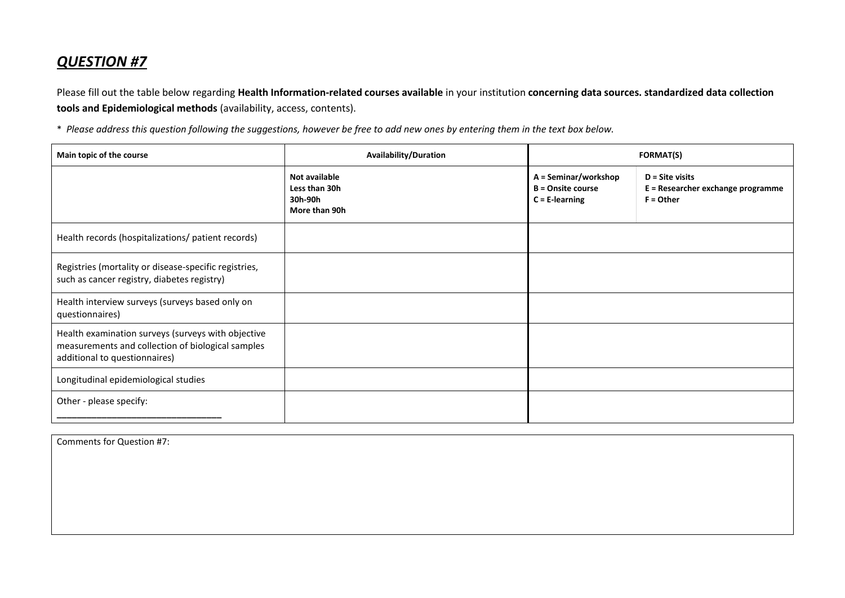Please fill out the table below regarding **Health Information-related courses available** in your institution **concerning data sources. standardized data collection tools and Epidemiological methods** (availability, access, contents).

\* *Please address this question following the suggestions, however be free to add new ones by entering them in the text box below.*

| Main topic of the course                                                                                                                 | <b>Availability/Duration</b>                               | <b>FORMAT(S)</b>                                                      |                                                                       |  |
|------------------------------------------------------------------------------------------------------------------------------------------|------------------------------------------------------------|-----------------------------------------------------------------------|-----------------------------------------------------------------------|--|
|                                                                                                                                          | Not available<br>Less than 30h<br>30h-90h<br>More than 90h | A = Seminar/workshop<br><b>B</b> = Onsite course<br>$C = E$ -learning | $D =$ Site visits<br>E = Researcher exchange programme<br>$F =$ Other |  |
| Health records (hospitalizations/ patient records)                                                                                       |                                                            |                                                                       |                                                                       |  |
| Registries (mortality or disease-specific registries,<br>such as cancer registry, diabetes registry)                                     |                                                            |                                                                       |                                                                       |  |
| Health interview surveys (surveys based only on<br>questionnaires)                                                                       |                                                            |                                                                       |                                                                       |  |
| Health examination surveys (surveys with objective<br>measurements and collection of biological samples<br>additional to questionnaires) |                                                            |                                                                       |                                                                       |  |
| Longitudinal epidemiological studies                                                                                                     |                                                            |                                                                       |                                                                       |  |
| Other - please specify:                                                                                                                  |                                                            |                                                                       |                                                                       |  |

Comments for Question #7: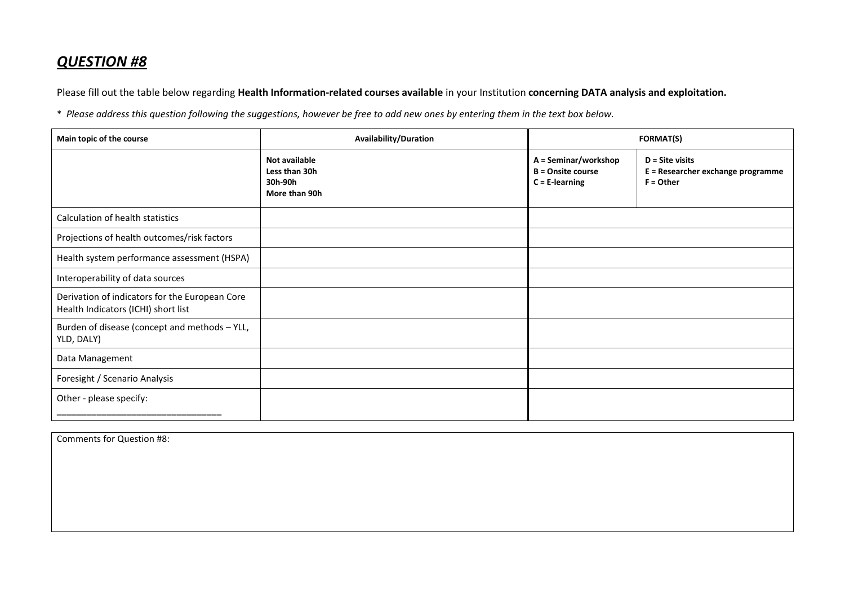Please fill out the table below regarding **Health Information-related courses available** in your Institution **concerning DATA analysis and exploitation.**

\* *Please address this question following the suggestions, however be free to add new ones by entering them in the text box below.*

| Main topic of the course                                                              | Availability/Duration                                      | <b>FORMAT(S)</b>                                                      |                                                                       |
|---------------------------------------------------------------------------------------|------------------------------------------------------------|-----------------------------------------------------------------------|-----------------------------------------------------------------------|
|                                                                                       | Not available<br>Less than 30h<br>30h-90h<br>More than 90h | A = Seminar/workshop<br><b>B</b> = Onsite course<br>$C = E$ -learning | $D =$ Site visits<br>E = Researcher exchange programme<br>$F =$ Other |
| Calculation of health statistics                                                      |                                                            |                                                                       |                                                                       |
| Projections of health outcomes/risk factors                                           |                                                            |                                                                       |                                                                       |
| Health system performance assessment (HSPA)                                           |                                                            |                                                                       |                                                                       |
| Interoperability of data sources                                                      |                                                            |                                                                       |                                                                       |
| Derivation of indicators for the European Core<br>Health Indicators (ICHI) short list |                                                            |                                                                       |                                                                       |
| Burden of disease (concept and methods - YLL,<br>YLD, DALY)                           |                                                            |                                                                       |                                                                       |
| Data Management                                                                       |                                                            |                                                                       |                                                                       |
| Foresight / Scenario Analysis                                                         |                                                            |                                                                       |                                                                       |
| Other - please specify:                                                               |                                                            |                                                                       |                                                                       |

| Comments for Question #8: |  |  |
|---------------------------|--|--|
|                           |  |  |
|                           |  |  |
|                           |  |  |
|                           |  |  |
|                           |  |  |
|                           |  |  |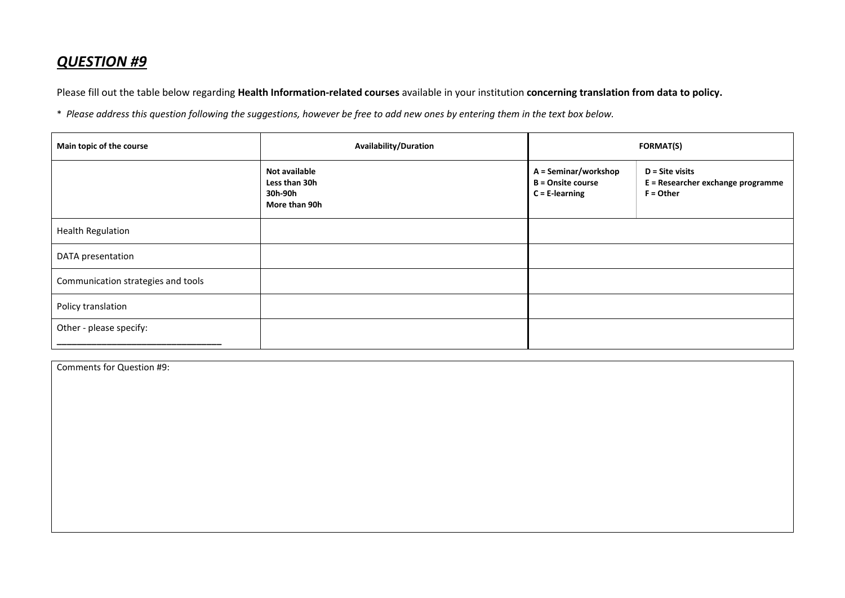Please fill out the table below regarding **Health Information-related courses** available in your institution **concerning translation from data to policy.**

\* *Please address this question following the suggestions, however be free to add new ones by entering them in the text box below.*

| Main topic of the course           | Availability/Duration                                      | <b>FORMAT(S)</b>                                                      |                                                                       |  |
|------------------------------------|------------------------------------------------------------|-----------------------------------------------------------------------|-----------------------------------------------------------------------|--|
|                                    | Not available<br>Less than 30h<br>30h-90h<br>More than 90h | A = Seminar/workshop<br><b>B</b> = Onsite course<br>$C = E$ -learning | $D =$ Site visits<br>E = Researcher exchange programme<br>$F =$ Other |  |
| <b>Health Regulation</b>           |                                                            |                                                                       |                                                                       |  |
| DATA presentation                  |                                                            |                                                                       |                                                                       |  |
| Communication strategies and tools |                                                            |                                                                       |                                                                       |  |
| Policy translation                 |                                                            |                                                                       |                                                                       |  |
| Other - please specify:            |                                                            |                                                                       |                                                                       |  |

Comments for Question #9: